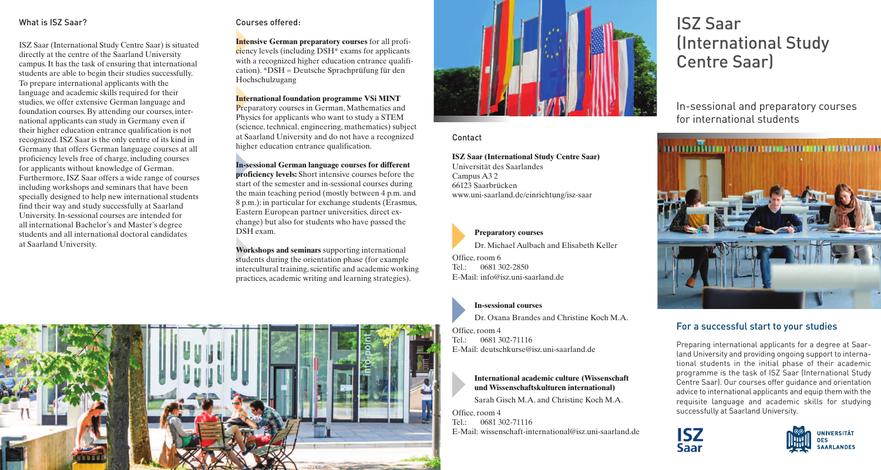# What is ISZ Saar?

ISZ Saar (International Study Centre Saar) is situated directly at the centre of the Saarland University campus.It has the task of ensuring that international students are able to begin their studies successfully. To prepare international applicants with the language and academic skills required for their studies, we offer extensive German language and foundation courses. By attending our courses, international applicants can study in Germany even if their higher education entrance qualification is not recognized.ISZ Saar is the only centre of its kind in Germany that offers German language courses at all proficiency levels free of charge, including courses for applicants without knowledge of German. Furthermore,ISZ Saar offers a wide range of courses including workshops and seminars that have been specially designed to help new international students find their way and study successfully at Saarland University.In-sessional courses are intended for all international Bachelor's and Master's degree students and all international doctoral candidates at Saarland University.

# Courses offered:

**Intensive German preparatory courses** for all proficiency levels (including DSH\* exams for applicants with a recognized higher education entrance qualification). \*DSH = Deutsche Sprachprüfung für den Hochschulzugang

**International foundation programme VSi MINT** Preparatory courses in German, Mathematics and Physics for applicants who want to study a STEM (science, technical, engineering, mathematics) subject at Saarland University and do not have a recognized higher education entrance qualification.

**In-sessional German language courses for different proficiency levels:** Short intensive courses before the start of the semester and in-sessional courses during the main teaching period (mostly between 4 p.m. and 8 p.m.): in particular for exchange students (Erasmus, Eastern European partner universities, direct exchange) but also for students who have passed the DSH exam.

**Workshops and seminars** supporting international students during the orientation phase (for example intercultural training, scientific and academic working practices, academic writing and learning strategies).





Contact

**ISZ Saar (International Study Centre Saar)** Universität des Saarlandes Campus A3 2 66123 Saarbrücken www.uni-saarland.de/einrichtung/isz-saar

**Preparatory courses** Dr. Michael Aulbach and Elisabeth Keller

Office, room 6 Tel.: 0681 302-2850 E-Mail: info@isz.uni-saarland.de

**In-sessional courses**

Dr. Oxana Brandes and Christine Koch M.A.

Office, room 4 Tel.: 0681 302-71116 E-Mail: deutschkurse@isz.uni-saarland.de

> **International academic culture (Wissenschaft und Wissenschaftskulturen international)**

Sarah Gisch M.A. and Christine Koch M.A.

Office, room 4  $Tel: 0681 302-71116$ E-Mail: wissenschaft-international@isz.uni-saarland.de

# ISZ Saar (International Study Centre Saar)

In-sessional and preparatory courses for international students



# For a successful start to your studies

Preparing international applicants for a degree at Saarland University and providing ongoing support to international students in the initial phase of their academic programme is the task of ISZ Saar (International Study Centre Saar). Our courses offer guidance and orientation advice to international applicants and equip them with the requisite language and academic skills for studying successfully at Saarland University.